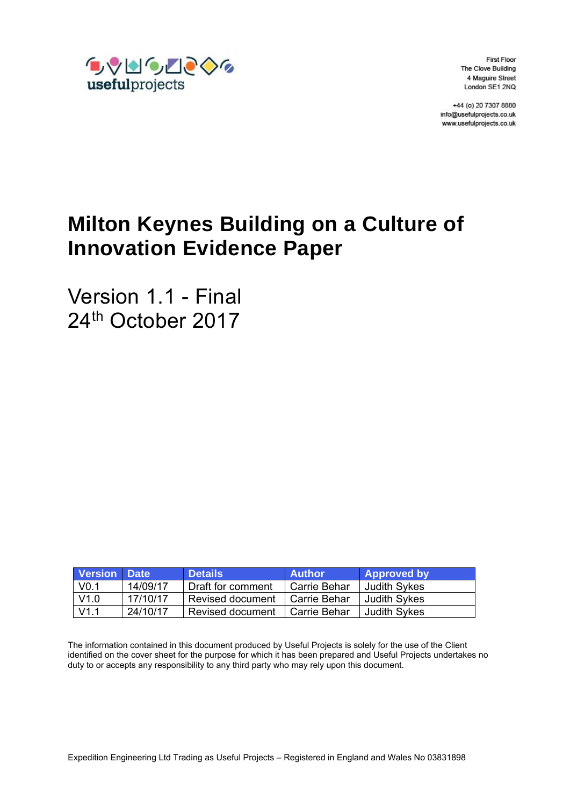

**First Floor** The Clove Building 4 Maguire Street London SE1 2NQ

+44 (o) 20 7307 8880 info@usefulprojects.co.uk www.usefulprojects.co.uk

# **Milton Keynes Building on a Culture of Innovation Evidence Paper**

Version 1.1 - Final 24<sup>th</sup> October 2017

| Version Date     |          | <b>Details</b>    | <b>Author</b> | <b>Approved by</b> |
|------------------|----------|-------------------|---------------|--------------------|
| V <sub>0.1</sub> | 14/09/17 | Draft for comment | Carrie Behar  | Judith Sykes       |
| V1.0             | 17/10/17 | Revised document  | Carrie Behar  | Judith Sykes       |
| V1 1             | 24/10/17 | Revised document  | Carrie Behar  | Judith Sykes       |

The information contained in this document produced by Useful Projects is solely for the use of the Client identified on the cover sheet for the purpose for which it has been prepared and Useful Projects undertakes no duty to or accepts any responsibility to any third party who may rely upon this document.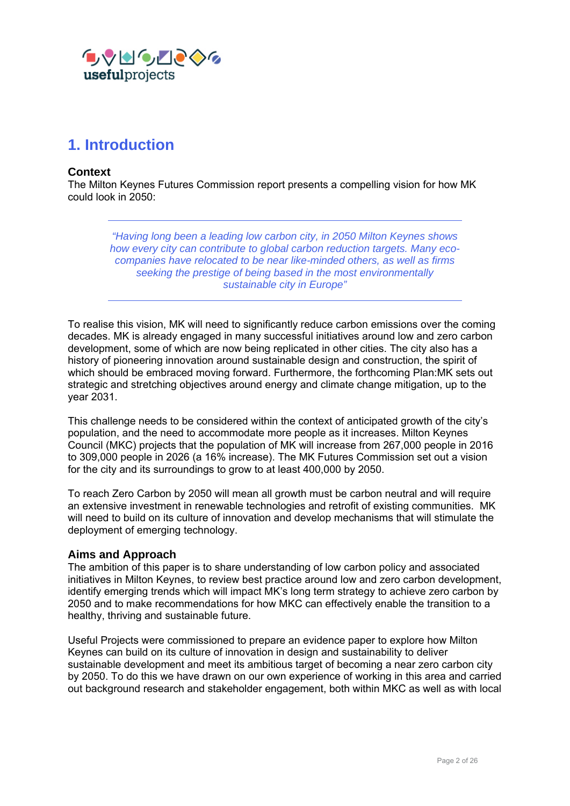

# **1. Introduction**

#### **Context**

The Milton Keynes Futures Commission report presents a compelling vision for how MK could look in 2050:

> *"Having long been a leading low carbon city, in 2050 Milton Keynes shows how every city can contribute to global carbon reduction targets. Many ecocompanies have relocated to be near like-minded others, as well as firms seeking the prestige of being based in the most environmentally sustainable city in Europe"*

To realise this vision, MK will need to significantly reduce carbon emissions over the coming decades. MK is already engaged in many successful initiatives around low and zero carbon development, some of which are now being replicated in other cities. The city also has a history of pioneering innovation around sustainable design and construction, the spirit of which should be embraced moving forward. Furthermore, the forthcoming Plan:MK sets out strategic and stretching objectives around energy and climate change mitigation, up to the year 2031.

This challenge needs to be considered within the context of anticipated growth of the city's population, and the need to accommodate more people as it increases. Milton Keynes Council (MKC) projects that the population of MK will increase from 267,000 people in 2016 to 309,000 people in 2026 (a 16% increase). The MK Futures Commission set out a vision for the city and its surroundings to grow to at least 400,000 by 2050.

To reach Zero Carbon by 2050 will mean all growth must be carbon neutral and will require an extensive investment in renewable technologies and retrofit of existing communities. MK will need to build on its culture of innovation and develop mechanisms that will stimulate the deployment of emerging technology.

#### **Aims and Approach**

The ambition of this paper is to share understanding of low carbon policy and associated initiatives in Milton Keynes, to review best practice around low and zero carbon development, identify emerging trends which will impact MK's long term strategy to achieve zero carbon by 2050 and to make recommendations for how MKC can effectively enable the transition to a healthy, thriving and sustainable future.

Useful Projects were commissioned to prepare an evidence paper to explore how Milton Keynes can build on its culture of innovation in design and sustainability to deliver sustainable development and meet its ambitious target of becoming a near zero carbon city by 2050. To do this we have drawn on our own experience of working in this area and carried out background research and stakeholder engagement, both within MKC as well as with local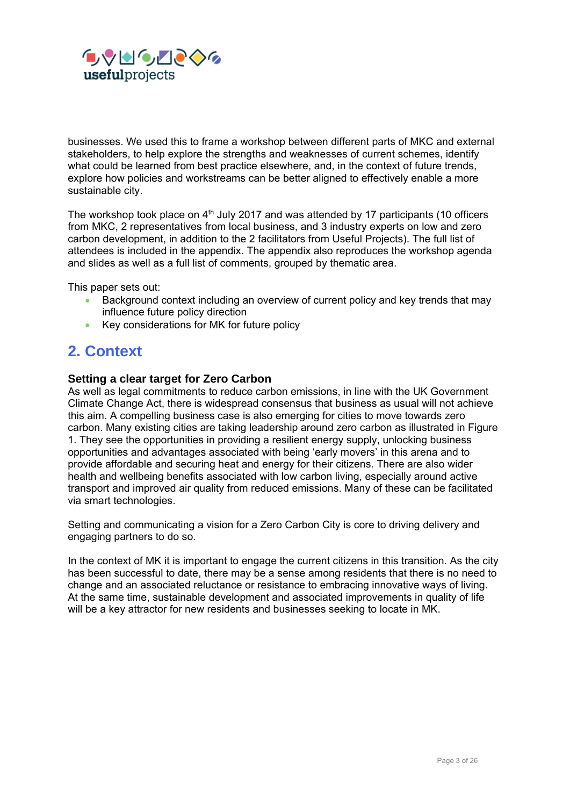

businesses. We used this to frame a workshop between different parts of MKC and external stakeholders, to help explore the strengths and weaknesses of current schemes, identify what could be learned from best practice elsewhere, and, in the context of future trends, explore how policies and workstreams can be better aligned to effectively enable a more sustainable city.

The workshop took place on  $4<sup>th</sup>$  July 2017 and was attended by 17 participants (10 officers from MKC, 2 representatives from local business, and 3 industry experts on low and zero carbon development, in addition to the 2 facilitators from Useful Projects). The full list of attendees is included in the appendix. The appendix also reproduces the workshop agenda and slides as well as a full list of comments, grouped by thematic area.

This paper sets out:

- Background context including an overview of current policy and key trends that may influence future policy direction
- Key considerations for MK for future policy

# **2. Context**

#### **Setting a clear target for Zero Carbon**

As well as legal commitments to reduce carbon emissions, in line with the UK Government Climate Change Act, there is widespread consensus that business as usual will not achieve this aim. A compelling business case is also emerging for cities to move towards zero carbon. Many existing cities are taking leadership around zero carbon as illustrated in Figure 1. They see the opportunities in providing a resilient energy supply, unlocking business opportunities and advantages associated with being 'early movers' in this arena and to provide affordable and securing heat and energy for their citizens. There are also wider health and wellbeing benefits associated with low carbon living, especially around active transport and improved air quality from reduced emissions. Many of these can be facilitated via smart technologies.

Setting and communicating a vision for a Zero Carbon City is core to driving delivery and engaging partners to do so.

In the context of MK it is important to engage the current citizens in this transition. As the city has been successful to date, there may be a sense among residents that there is no need to change and an associated reluctance or resistance to embracing innovative ways of living. At the same time, sustainable development and associated improvements in quality of life will be a key attractor for new residents and businesses seeking to locate in MK.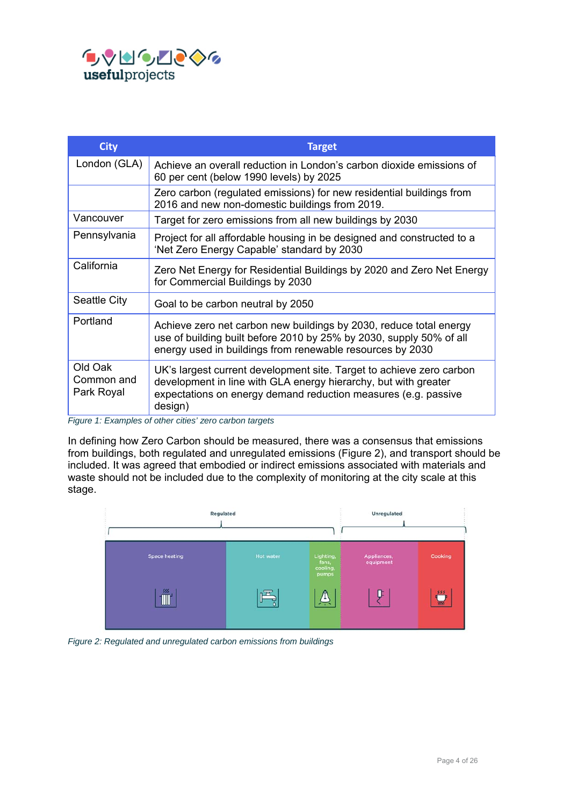

| <b>City</b>                         | <b>Target</b>                                                                                                                                                                                                                                                                   |
|-------------------------------------|---------------------------------------------------------------------------------------------------------------------------------------------------------------------------------------------------------------------------------------------------------------------------------|
| London (GLA)                        | Achieve an overall reduction in London's carbon dioxide emissions of<br>60 per cent (below 1990 levels) by 2025                                                                                                                                                                 |
|                                     | Zero carbon (regulated emissions) for new residential buildings from<br>2016 and new non-domestic buildings from 2019.                                                                                                                                                          |
| Vancouver                           | Target for zero emissions from all new buildings by 2030                                                                                                                                                                                                                        |
| Pennsylvania                        | Project for all affordable housing in be designed and constructed to a<br>'Net Zero Energy Capable' standard by 2030                                                                                                                                                            |
| California                          | Zero Net Energy for Residential Buildings by 2020 and Zero Net Energy<br>for Commercial Buildings by 2030                                                                                                                                                                       |
| Seattle City                        | Goal to be carbon neutral by 2050                                                                                                                                                                                                                                               |
| Portland                            | Achieve zero net carbon new buildings by 2030, reduce total energy<br>use of building built before 2010 by 25% by 2030, supply 50% of all<br>energy used in buildings from renewable resources by 2030                                                                          |
| Old Oak<br>Common and<br>Park Royal | UK's largest current development site. Target to achieve zero carbon<br>development in line with GLA energy hierarchy, but with greater<br>expectations on energy demand reduction measures (e.g. passive<br>design)<br>Figure 1: Examples of other cities' zero carbon targets |

*Figure 1: Examples of other cities' zero carbon targets* 

In defining how Zero Carbon should be measured, there was a consensus that emissions from buildings, both regulated and unregulated emissions (Figure 2), and transport should be included. It was agreed that embodied or indirect emissions associated with materials and waste should not be included due to the complexity of monitoring at the city scale at this stage.



*Figure 2: Regulated and unregulated carbon emissions from buildings*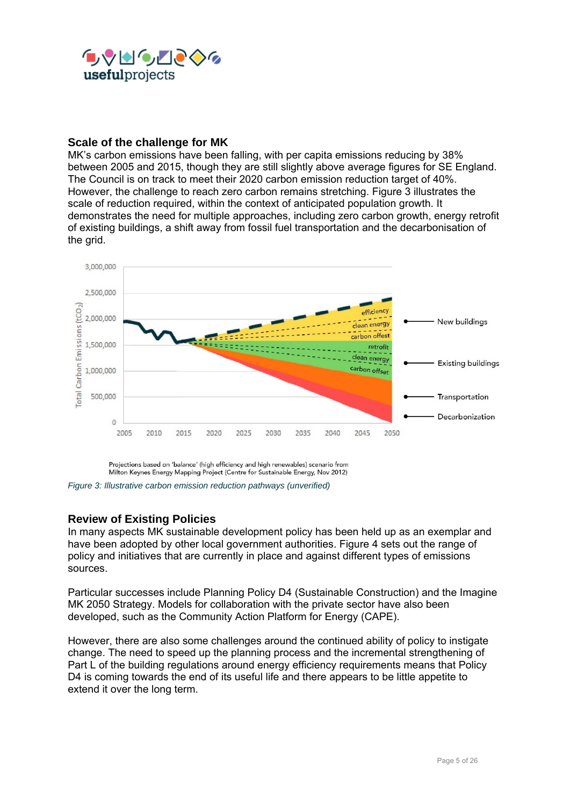

### **Scale of the challenge for MK**

MK's carbon emissions have been falling, with per capita emissions reducing by 38% between 2005 and 2015, though they are still slightly above average figures for SE England. The Council is on track to meet their 2020 carbon emission reduction target of 40%. However, the challenge to reach zero carbon remains stretching. Figure 3 illustrates the scale of reduction required, within the context of anticipated population growth. It demonstrates the need for multiple approaches, including zero carbon growth, energy retrofit of existing buildings, a shift away from fossil fuel transportation and the decarbonisation of the grid.



Projections based on 'balance' (high efficiency and high renewables) scenario from Milton Keynes Energy Mapping Project (Centre for Sustainable Energy, Nov 2012)

*Figure 3: Illustrative carbon emission reduction pathways (unverified)* 

# **Review of Existing Policies**

In many aspects MK sustainable development policy has been held up as an exemplar and have been adopted by other local government authorities. Figure 4 sets out the range of policy and initiatives that are currently in place and against different types of emissions sources.

Particular successes include Planning Policy D4 (Sustainable Construction) and the Imagine MK 2050 Strategy. Models for collaboration with the private sector have also been developed, such as the Community Action Platform for Energy (CAPE).

However, there are also some challenges around the continued ability of policy to instigate change. The need to speed up the planning process and the incremental strengthening of Part L of the building regulations around energy efficiency requirements means that Policy D4 is coming towards the end of its useful life and there appears to be little appetite to extend it over the long term.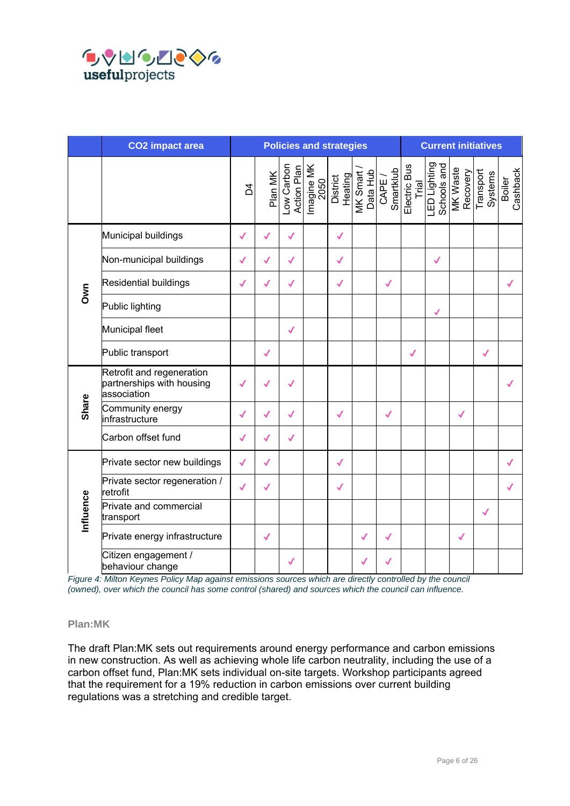

|              | <b>CO2</b> impact area                                                | <b>Policies and strategies</b> |              |                           |                    | <b>Current initiatives</b> |                      |                     |                       |                                         |              |                      |                    |
|--------------|-----------------------------------------------------------------------|--------------------------------|--------------|---------------------------|--------------------|----------------------------|----------------------|---------------------|-----------------------|-----------------------------------------|--------------|----------------------|--------------------|
|              |                                                                       | ξ                              | Plan MK      | Low Carbon<br>Action Plan | Imagine MK<br>2050 | District<br>Heating        | MK Smart<br>Data Hub | Smartklub<br>CAPE / | Electric Bus<br>Trial | LED Lighting<br>Schools and<br>MK Waste | Recovery     | Transport<br>Systems | Boiler<br>Cashback |
|              | Municipal buildings                                                   | √                              | $\sqrt{2}$   | √                         |                    | $\checkmark$               |                      |                     |                       |                                         |              |                      |                    |
|              | Non-municipal buildings                                               | √                              | √            | √                         |                    | √                          |                      |                     |                       | $\checkmark$                            |              |                      |                    |
| Own          | <b>Residential buildings</b>                                          | ✓                              | ✓            | √                         |                    | √                          |                      | $\checkmark$        |                       |                                         |              |                      | $\checkmark$       |
|              | Public lighting                                                       |                                |              |                           |                    |                            |                      |                     |                       | ✓                                       |              |                      |                    |
|              | Municipal fleet                                                       |                                |              | $\checkmark$              |                    |                            |                      |                     |                       |                                         |              |                      |                    |
|              | Public transport                                                      |                                | $\checkmark$ |                           |                    |                            |                      |                     | $\checkmark$          |                                         |              | $\checkmark$         |                    |
| <b>Share</b> | Retrofit and regeneration<br>partnerships with housing<br>association | ✓                              | √            | √                         |                    |                            |                      |                     |                       |                                         |              |                      |                    |
|              | Community energy<br>infrastructure                                    | $\checkmark$                   | √            | ✓                         |                    | $\checkmark$               |                      | $\checkmark$        |                       |                                         | $\checkmark$ |                      |                    |
|              | Carbon offset fund                                                    | √                              | √            | √                         |                    |                            |                      |                     |                       |                                         |              |                      |                    |
|              | Private sector new buildings                                          | $\checkmark$                   | $\checkmark$ |                           |                    | $\checkmark$               |                      |                     |                       |                                         |              |                      | $\checkmark$       |
| Influence    | Private sector regeneration /<br>retrofit                             | $\checkmark$                   | $\checkmark$ |                           |                    | $\checkmark$               |                      |                     |                       |                                         |              |                      | ✔                  |
|              | Private and commercial<br>transport                                   |                                |              |                           |                    |                            |                      |                     |                       |                                         |              | $\checkmark$         |                    |
|              | Private energy infrastructure                                         |                                | $\checkmark$ |                           |                    |                            | $\checkmark$         | ✔                   |                       |                                         | $\checkmark$ |                      |                    |
|              | Citizen engagement /<br>behaviour change                              |                                |              | ✔                         |                    |                            |                      |                     |                       |                                         |              |                      |                    |

*Figure 4: Milton Keynes Policy Map against emissions sources which are directly controlled by the council (owned), over which the council has some control (shared) and sources which the council can influence.* 

### **Plan:MK**

The draft Plan:MK sets out requirements around energy performance and carbon emissions in new construction. As well as achieving whole life carbon neutrality, including the use of a carbon offset fund, Plan:MK sets individual on-site targets. Workshop participants agreed that the requirement for a 19% reduction in carbon emissions over current building regulations was a stretching and credible target.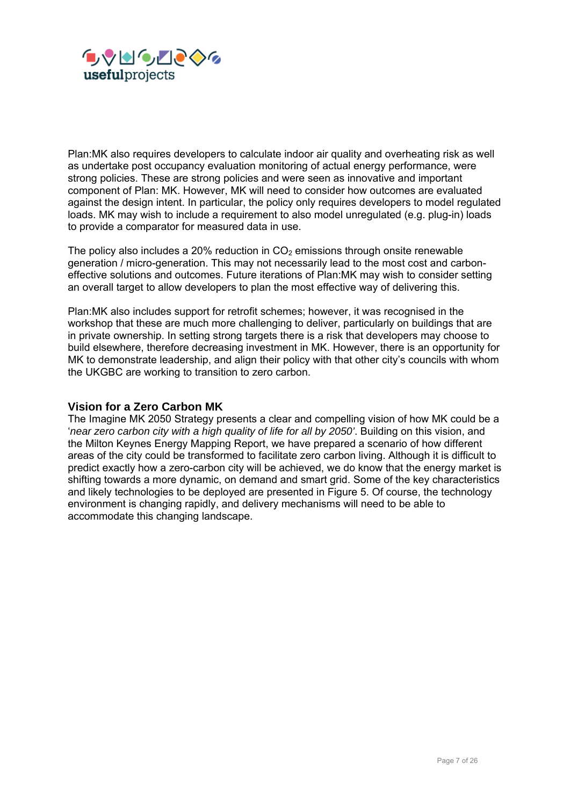

Plan:MK also requires developers to calculate indoor air quality and overheating risk as well as undertake post occupancy evaluation monitoring of actual energy performance, were strong policies. These are strong policies and were seen as innovative and important component of Plan: MK. However, MK will need to consider how outcomes are evaluated against the design intent. In particular, the policy only requires developers to model regulated loads. MK may wish to include a requirement to also model unregulated (e.g. plug-in) loads to provide a comparator for measured data in use.

The policy also includes a 20% reduction in  $CO<sub>2</sub>$  emissions through onsite renewable generation / micro-generation. This may not necessarily lead to the most cost and carboneffective solutions and outcomes. Future iterations of Plan:MK may wish to consider setting an overall target to allow developers to plan the most effective way of delivering this.

Plan:MK also includes support for retrofit schemes; however, it was recognised in the workshop that these are much more challenging to deliver, particularly on buildings that are in private ownership. In setting strong targets there is a risk that developers may choose to build elsewhere, therefore decreasing investment in MK. However, there is an opportunity for MK to demonstrate leadership, and align their policy with that other city's councils with whom the UKGBC are working to transition to zero carbon.

#### **Vision for a Zero Carbon MK**

The Imagine MK 2050 Strategy presents a clear and compelling vision of how MK could be a '*near zero carbon city with a high quality of life for all by 2050'*. Building on this vision, and the Milton Keynes Energy Mapping Report, we have prepared a scenario of how different areas of the city could be transformed to facilitate zero carbon living. Although it is difficult to predict exactly how a zero-carbon city will be achieved, we do know that the energy market is shifting towards a more dynamic, on demand and smart grid. Some of the key characteristics and likely technologies to be deployed are presented in Figure 5. Of course, the technology environment is changing rapidly, and delivery mechanisms will need to be able to accommodate this changing landscape.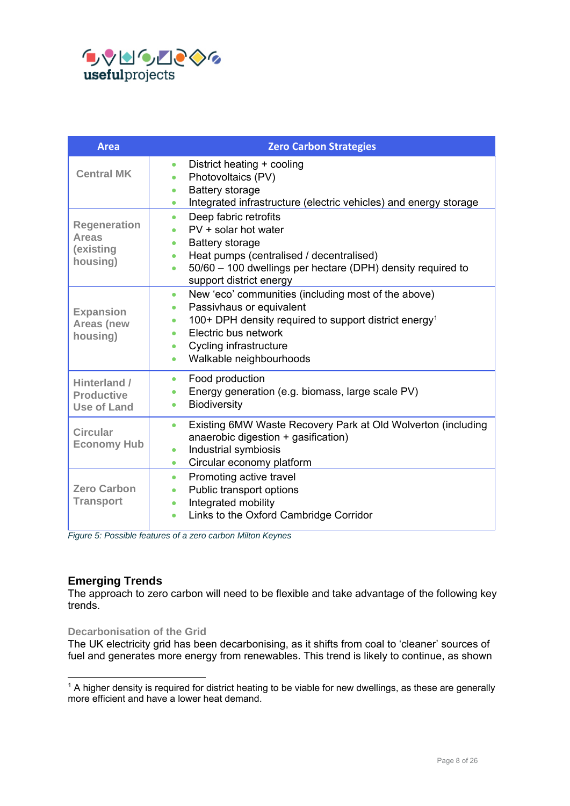

| <b>Area</b>                                                  | <b>Zero Carbon Strategies</b>                                                                                                                                                                                                                                              |
|--------------------------------------------------------------|----------------------------------------------------------------------------------------------------------------------------------------------------------------------------------------------------------------------------------------------------------------------------|
| <b>Central MK</b>                                            | District heating + cooling<br>$\bullet$<br>Photovoltaics (PV)<br>$\bullet$<br><b>Battery storage</b><br>$\bullet$<br>Integrated infrastructure (electric vehicles) and energy storage<br>۰                                                                                 |
| <b>Regeneration</b><br><b>Areas</b><br>(existing<br>housing) | Deep fabric retrofits<br>۰<br>PV + solar hot water<br><b>Battery storage</b><br>$\bullet$<br>Heat pumps (centralised / decentralised)<br>$\bullet$<br>50/60 - 100 dwellings per hectare (DPH) density required to<br>$\bullet$<br>support district energy                  |
| <b>Expansion</b><br><b>Areas (new</b><br>housing)            | New 'eco' communities (including most of the above)<br>۰<br>Passivhaus or equivalent<br>100+ DPH density required to support district energy <sup>1</sup><br>۰<br>Electric bus network<br>٠<br>Cycling infrastructure<br>$\bullet$<br>Walkable neighbourhoods<br>$\bullet$ |
| Hinterland /<br><b>Productive</b><br><b>Use of Land</b>      | Food production<br>$\bullet$<br>Energy generation (e.g. biomass, large scale PV)<br>$\bullet$<br>Biodiversity<br>$\bullet$                                                                                                                                                 |
| <b>Circular</b><br><b>Economy Hub</b>                        | Existing 6MW Waste Recovery Park at Old Wolverton (including<br>$\bullet$<br>anaerobic digestion + gasification)<br>Industrial symbiosis<br>$\bullet$<br>Circular economy platform<br>$\bullet$                                                                            |
| <b>Zero Carbon</b><br><b>Transport</b>                       | Promoting active travel<br>$\bullet$<br>Public transport options<br>$\bullet$<br>Integrated mobility<br>$\bullet$<br>Links to the Oxford Cambridge Corridor<br>$\bullet$                                                                                                   |

*Figure 5: Possible features of a zero carbon Milton Keynes* 

# **Emerging Trends**

-

The approach to zero carbon will need to be flexible and take advantage of the following key trends.

#### **Decarbonisation of the Grid**

The UK electricity grid has been decarbonising, as it shifts from coal to 'cleaner' sources of fuel and generates more energy from renewables. This trend is likely to continue, as shown

<sup>&</sup>lt;sup>1</sup> A higher density is required for district heating to be viable for new dwellings, as these are generally more efficient and have a lower heat demand.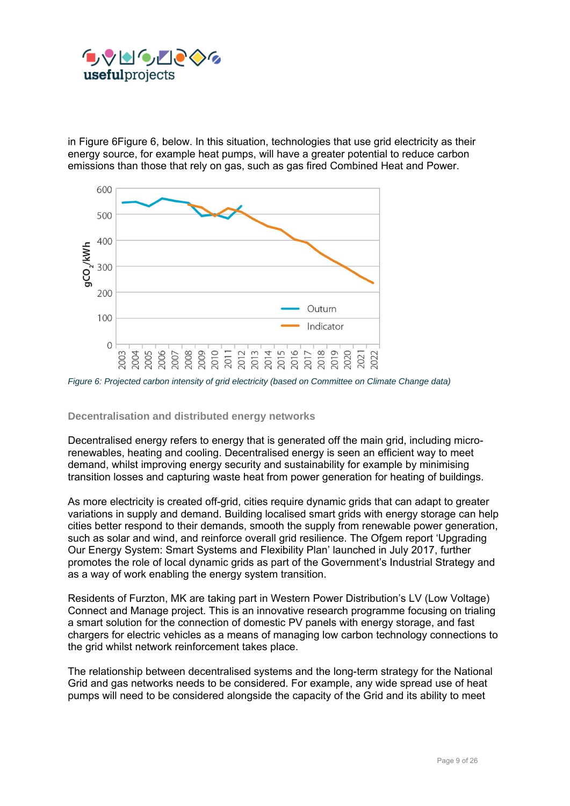

in Figure 6Figure 6, below. In this situation, technologies that use grid electricity as their energy source, for example heat pumps, will have a greater potential to reduce carbon emissions than those that rely on gas, such as gas fired Combined Heat and Power.



*Figure 6: Projected carbon intensity of grid electricity (based on Committee on Climate Change data)* 

#### **Decentralisation and distributed energy networks**

Decentralised energy refers to energy that is generated off the main grid, including microrenewables, heating and cooling. Decentralised energy is seen an efficient way to meet demand, whilst improving energy security and sustainability for example by minimising transition losses and capturing waste heat from power generation for heating of buildings.

As more electricity is created off-grid, cities require dynamic grids that can adapt to greater variations in supply and demand. Building localised smart grids with energy storage can help cities better respond to their demands, smooth the supply from renewable power generation, such as solar and wind, and reinforce overall grid resilience. The Ofgem report 'Upgrading Our Energy System: Smart Systems and Flexibility Plan' launched in July 2017, further promotes the role of local dynamic grids as part of the Government's Industrial Strategy and as a way of work enabling the energy system transition.

Residents of Furzton, MK are taking part in Western Power Distribution's LV (Low Voltage) Connect and Manage project. This is an innovative research programme focusing on trialing a smart solution for the connection of domestic PV panels with energy storage, and fast chargers for electric vehicles as a means of managing low carbon technology connections to the grid whilst network reinforcement takes place.

The relationship between decentralised systems and the long-term strategy for the National Grid and gas networks needs to be considered. For example, any wide spread use of heat pumps will need to be considered alongside the capacity of the Grid and its ability to meet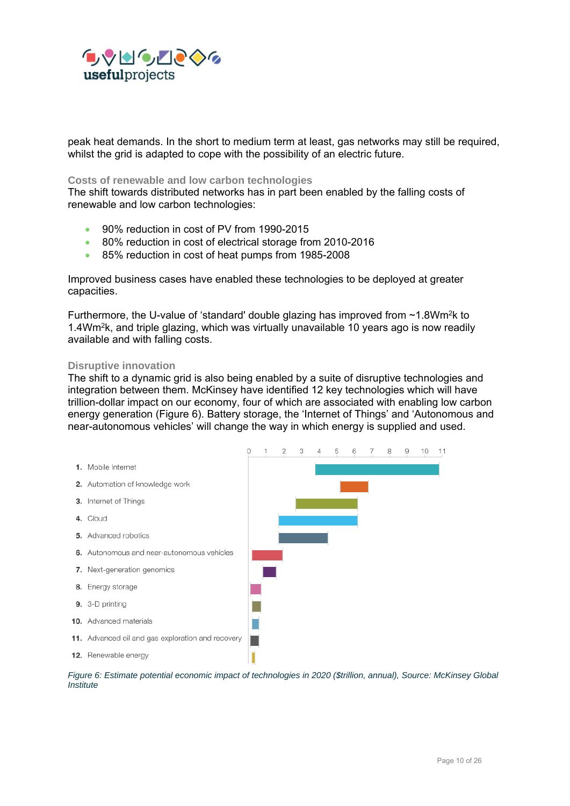

peak heat demands. In the short to medium term at least, gas networks may still be required, whilst the grid is adapted to cope with the possibility of an electric future.

#### **Costs of renewable and low carbon technologies**

The shift towards distributed networks has in part been enabled by the falling costs of renewable and low carbon technologies:

- 90% reduction in cost of PV from 1990-2015
- 80% reduction in cost of electrical storage from 2010-2016
- 85% reduction in cost of heat pumps from 1985-2008

Improved business cases have enabled these technologies to be deployed at greater capacities.

Furthermore, the U-value of 'standard' double glazing has improved from  $\sim$ 1.8Wm<sup>2</sup>k to 1.4Wm2k, and triple glazing, which was virtually unavailable 10 years ago is now readily available and with falling costs.

#### **Disruptive innovation**

The shift to a dynamic grid is also being enabled by a suite of disruptive technologies and integration between them. McKinsey have identified 12 key technologies which will have trillion-dollar impact on our economy, four of which are associated with enabling low carbon energy generation (Figure 6). Battery storage, the 'Internet of Things' and 'Autonomous and near-autonomous vehicles' will change the way in which energy is supplied and used.



*Figure 6: Estimate potential economic impact of technologies in 2020 (\$trillion, annual), Source: McKinsey Global Institute*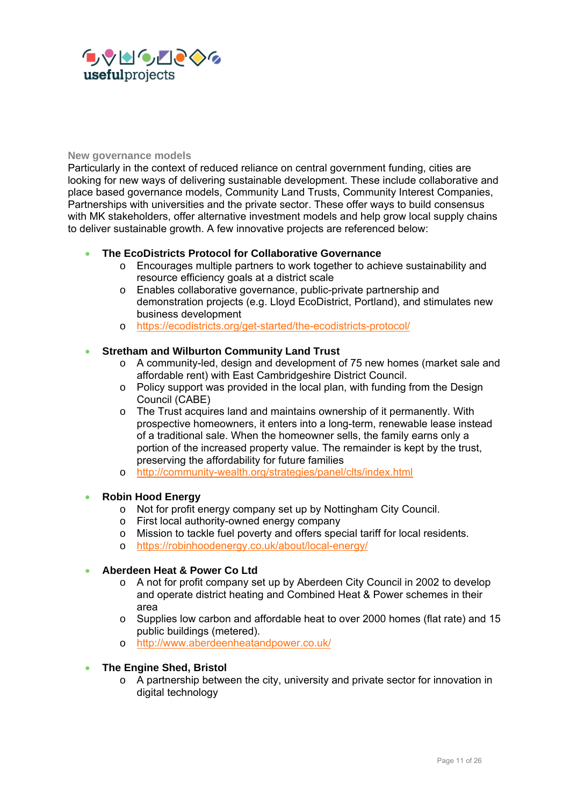

#### **New governance models**

Particularly in the context of reduced reliance on central government funding, cities are looking for new ways of delivering sustainable development. These include collaborative and place based governance models, Community Land Trusts, Community Interest Companies, Partnerships with universities and the private sector. These offer ways to build consensus with MK stakeholders, offer alternative investment models and help grow local supply chains to deliver sustainable growth. A few innovative projects are referenced below:

#### **The EcoDistricts Protocol for Collaborative Governance**

- o Encourages multiple partners to work together to achieve sustainability and resource efficiency goals at a district scale
- o Enables collaborative governance, public-private partnership and demonstration projects (e.g. Lloyd EcoDistrict, Portland), and stimulates new business development
- o https://ecodistricts.org/get-started/the-ecodistricts-protocol/

#### **Stretham and Wilburton Community Land Trust**

- $\circ$  A community-led, design and development of 75 new homes (market sale and affordable rent) with East Cambridgeshire District Council.
- $\circ$  Policy support was provided in the local plan, with funding from the Design Council (CABE)
- o The Trust acquires land and maintains ownership of it permanently. With prospective homeowners, it enters into a long-term, renewable lease instead of a traditional sale. When the homeowner sells, the family earns only a portion of the increased property value. The remainder is kept by the trust, preserving the affordability for future families
- o http://community-wealth.org/strategies/panel/clts/index.html

#### **Robin Hood Energy**

- o Not for profit energy company set up by Nottingham City Council.
- o First local authority-owned energy company
- o Mission to tackle fuel poverty and offers special tariff for local residents.
- o https://robinhoodenergy.co.uk/about/local-energy/

#### **Aberdeen Heat & Power Co Ltd**

- $\circ$  A not for profit company set up by Aberdeen City Council in 2002 to develop and operate district heating and Combined Heat & Power schemes in their area
- o Supplies low carbon and affordable heat to over 2000 homes (flat rate) and 15 public buildings (metered).
- o http://www.aberdeenheatandpower.co.uk/

#### **The Engine Shed, Bristol**

 $\circ$  A partnership between the city, university and private sector for innovation in digital technology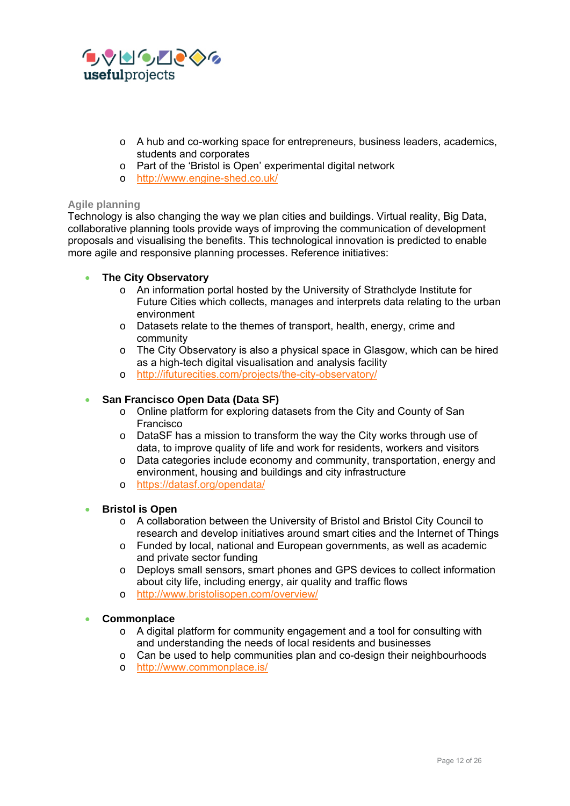

- o A hub and co-working space for entrepreneurs, business leaders, academics, students and corporates
- o Part of the 'Bristol is Open' experimental digital network
- o http://www.engine-shed.co.uk/

#### **Agile planning**

Technology is also changing the way we plan cities and buildings. Virtual reality, Big Data, collaborative planning tools provide ways of improving the communication of development proposals and visualising the benefits. This technological innovation is predicted to enable more agile and responsive planning processes. Reference initiatives:

#### **The City Observatory**

- o An information portal hosted by the University of Strathclyde Institute for Future Cities which collects, manages and interprets data relating to the urban environment
- o Datasets relate to the themes of transport, health, energy, crime and community
- o The City Observatory is also a physical space in Glasgow, which can be hired as a high-tech digital visualisation and analysis facility
- o http://ifuturecities.com/projects/the-city-observatory/

#### **San Francisco Open Data (Data SF)**

- o Online platform for exploring datasets from the City and County of San Francisco
- o DataSF has a mission to transform the way the City works through use of data, to improve quality of life and work for residents, workers and visitors
- o Data categories include economy and community, transportation, energy and environment, housing and buildings and city infrastructure
- o https://datasf.org/opendata/

#### **Bristol is Open**

- o A collaboration between the University of Bristol and Bristol City Council to research and develop initiatives around smart cities and the Internet of Things
- $\circ$  Funded by local, national and European governments, as well as academic and private sector funding
- o Deploys small sensors, smart phones and GPS devices to collect information about city life, including energy, air quality and traffic flows
- o http://www.bristolisopen.com/overview/

#### **Commonplace**

- o A digital platform for community engagement and a tool for consulting with and understanding the needs of local residents and businesses
- $\circ$  Can be used to help communities plan and co-design their neighbourhoods
- o http://www.commonplace.is/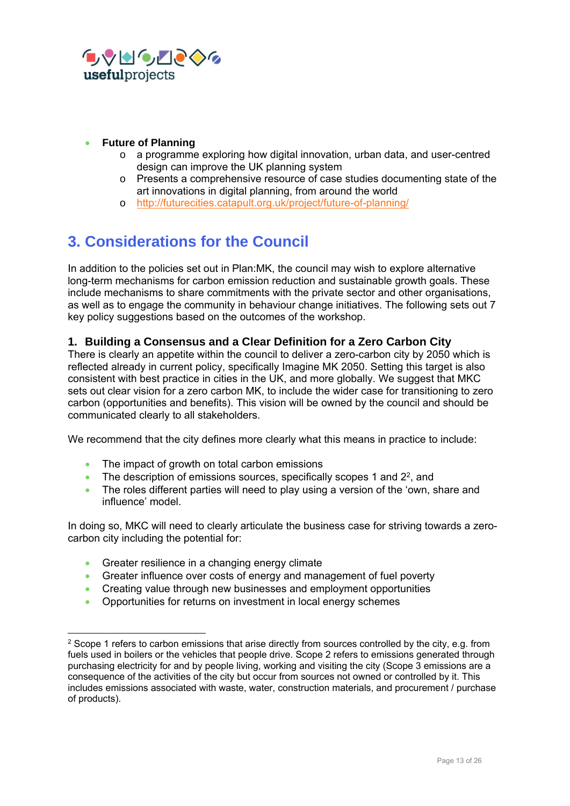

- **Future of Planning** 
	- $\circ$  a programme exploring how digital innovation, urban data, and user-centred design can improve the UK planning system
	- o Presents a comprehensive resource of case studies documenting state of the art innovations in digital planning, from around the world
	- o http://futurecities.catapult.org.uk/project/future-of-planning/

# **3. Considerations for the Council**

In addition to the policies set out in Plan:MK, the council may wish to explore alternative long-term mechanisms for carbon emission reduction and sustainable growth goals. These include mechanisms to share commitments with the private sector and other organisations, as well as to engage the community in behaviour change initiatives. The following sets out 7 key policy suggestions based on the outcomes of the workshop.

# **1. Building a Consensus and a Clear Definition for a Zero Carbon City**

There is clearly an appetite within the council to deliver a zero-carbon city by 2050 which is reflected already in current policy, specifically Imagine MK 2050. Setting this target is also consistent with best practice in cities in the UK, and more globally. We suggest that MKC sets out clear vision for a zero carbon MK, to include the wider case for transitioning to zero carbon (opportunities and benefits). This vision will be owned by the council and should be communicated clearly to all stakeholders.

We recommend that the city defines more clearly what this means in practice to include:

- The impact of growth on total carbon emissions
- $\bullet$  The description of emissions sources, specifically scopes 1 and 2<sup>2</sup>, and
- The roles different parties will need to play using a version of the 'own, share and influence' model.

In doing so, MKC will need to clearly articulate the business case for striving towards a zerocarbon city including the potential for:

• Greater resilience in a changing energy climate

-

- Greater influence over costs of energy and management of fuel poverty
- Creating value through new businesses and employment opportunities
- Opportunities for returns on investment in local energy schemes

<sup>&</sup>lt;sup>2</sup> Scope 1 refers to carbon emissions that arise directly from sources controlled by the city, e.g. from fuels used in boilers or the vehicles that people drive. Scope 2 refers to emissions generated through purchasing electricity for and by people living, working and visiting the city (Scope 3 emissions are a consequence of the activities of the city but occur from sources not owned or controlled by it. This includes emissions associated with waste, water, construction materials, and procurement / purchase of products).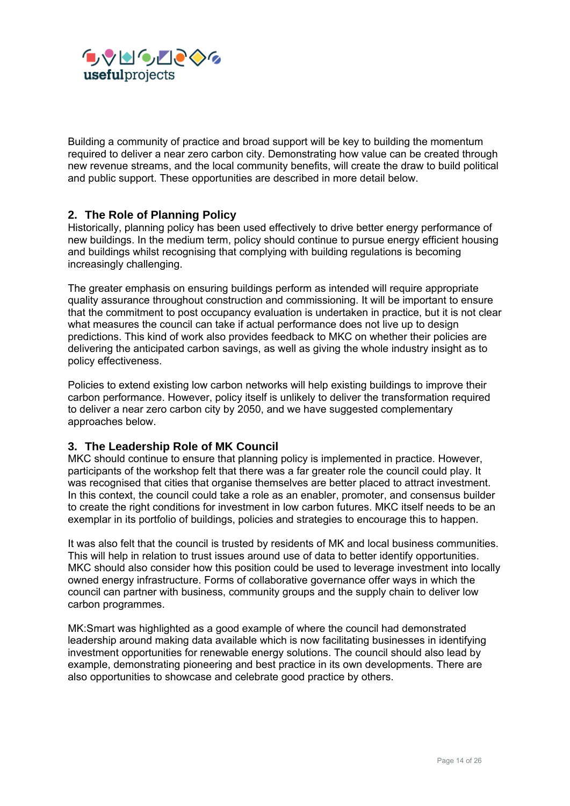

Building a community of practice and broad support will be key to building the momentum required to deliver a near zero carbon city. Demonstrating how value can be created through new revenue streams, and the local community benefits, will create the draw to build political and public support. These opportunities are described in more detail below.

### **2. The Role of Planning Policy**

Historically, planning policy has been used effectively to drive better energy performance of new buildings. In the medium term, policy should continue to pursue energy efficient housing and buildings whilst recognising that complying with building regulations is becoming increasingly challenging.

The greater emphasis on ensuring buildings perform as intended will require appropriate quality assurance throughout construction and commissioning. It will be important to ensure that the commitment to post occupancy evaluation is undertaken in practice, but it is not clear what measures the council can take if actual performance does not live up to design predictions. This kind of work also provides feedback to MKC on whether their policies are delivering the anticipated carbon savings, as well as giving the whole industry insight as to policy effectiveness.

Policies to extend existing low carbon networks will help existing buildings to improve their carbon performance. However, policy itself is unlikely to deliver the transformation required to deliver a near zero carbon city by 2050, and we have suggested complementary approaches below.

#### **3. The Leadership Role of MK Council**

MKC should continue to ensure that planning policy is implemented in practice. However, participants of the workshop felt that there was a far greater role the council could play. It was recognised that cities that organise themselves are better placed to attract investment. In this context, the council could take a role as an enabler, promoter, and consensus builder to create the right conditions for investment in low carbon futures. MKC itself needs to be an exemplar in its portfolio of buildings, policies and strategies to encourage this to happen.

It was also felt that the council is trusted by residents of MK and local business communities. This will help in relation to trust issues around use of data to better identify opportunities. MKC should also consider how this position could be used to leverage investment into locally owned energy infrastructure. Forms of collaborative governance offer ways in which the council can partner with business, community groups and the supply chain to deliver low carbon programmes.

MK:Smart was highlighted as a good example of where the council had demonstrated leadership around making data available which is now facilitating businesses in identifying investment opportunities for renewable energy solutions. The council should also lead by example, demonstrating pioneering and best practice in its own developments. There are also opportunities to showcase and celebrate good practice by others.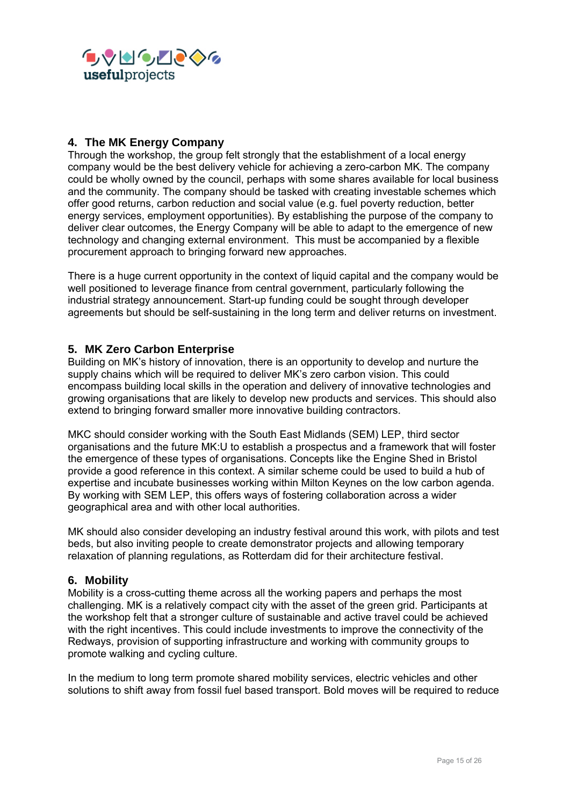

# **4. The MK Energy Company**

Through the workshop, the group felt strongly that the establishment of a local energy company would be the best delivery vehicle for achieving a zero-carbon MK. The company could be wholly owned by the council, perhaps with some shares available for local business and the community. The company should be tasked with creating investable schemes which offer good returns, carbon reduction and social value (e.g. fuel poverty reduction, better energy services, employment opportunities). By establishing the purpose of the company to deliver clear outcomes, the Energy Company will be able to adapt to the emergence of new technology and changing external environment. This must be accompanied by a flexible procurement approach to bringing forward new approaches.

There is a huge current opportunity in the context of liquid capital and the company would be well positioned to leverage finance from central government, particularly following the industrial strategy announcement. Start-up funding could be sought through developer agreements but should be self-sustaining in the long term and deliver returns on investment.

### **5. MK Zero Carbon Enterprise**

Building on MK's history of innovation, there is an opportunity to develop and nurture the supply chains which will be required to deliver MK's zero carbon vision. This could encompass building local skills in the operation and delivery of innovative technologies and growing organisations that are likely to develop new products and services. This should also extend to bringing forward smaller more innovative building contractors.

MKC should consider working with the South East Midlands (SEM) LEP, third sector organisations and the future MK:U to establish a prospectus and a framework that will foster the emergence of these types of organisations. Concepts like the Engine Shed in Bristol provide a good reference in this context. A similar scheme could be used to build a hub of expertise and incubate businesses working within Milton Keynes on the low carbon agenda. By working with SEM LEP, this offers ways of fostering collaboration across a wider geographical area and with other local authorities.

MK should also consider developing an industry festival around this work, with pilots and test beds, but also inviting people to create demonstrator projects and allowing temporary relaxation of planning regulations, as Rotterdam did for their architecture festival.

#### **6. Mobility**

Mobility is a cross-cutting theme across all the working papers and perhaps the most challenging. MK is a relatively compact city with the asset of the green grid. Participants at the workshop felt that a stronger culture of sustainable and active travel could be achieved with the right incentives. This could include investments to improve the connectivity of the Redways, provision of supporting infrastructure and working with community groups to promote walking and cycling culture.

In the medium to long term promote shared mobility services, electric vehicles and other solutions to shift away from fossil fuel based transport. Bold moves will be required to reduce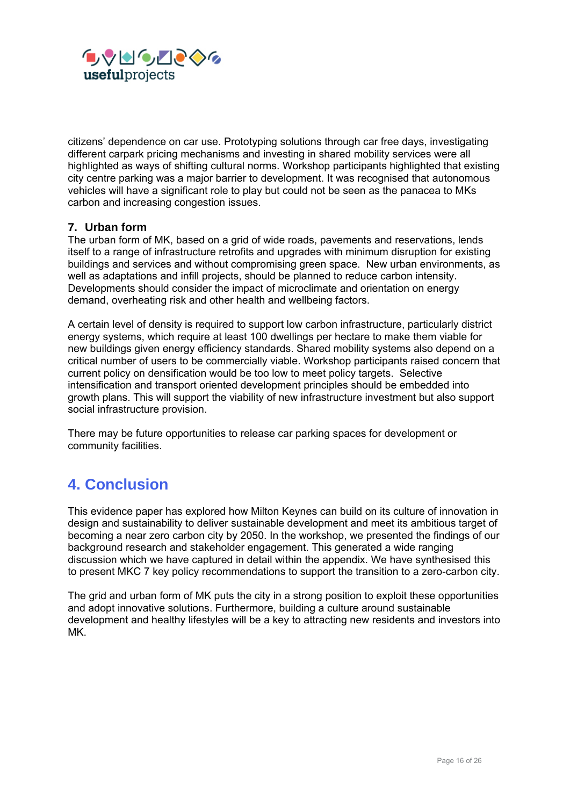

citizens' dependence on car use. Prototyping solutions through car free days, investigating different carpark pricing mechanisms and investing in shared mobility services were all highlighted as ways of shifting cultural norms. Workshop participants highlighted that existing city centre parking was a major barrier to development. It was recognised that autonomous vehicles will have a significant role to play but could not be seen as the panacea to MKs carbon and increasing congestion issues.

#### **7. Urban form**

The urban form of MK, based on a grid of wide roads, pavements and reservations, lends itself to a range of infrastructure retrofits and upgrades with minimum disruption for existing buildings and services and without compromising green space. New urban environments, as well as adaptations and infill projects, should be planned to reduce carbon intensity. Developments should consider the impact of microclimate and orientation on energy demand, overheating risk and other health and wellbeing factors.

A certain level of density is required to support low carbon infrastructure, particularly district energy systems, which require at least 100 dwellings per hectare to make them viable for new buildings given energy efficiency standards. Shared mobility systems also depend on a critical number of users to be commercially viable. Workshop participants raised concern that current policy on densification would be too low to meet policy targets. Selective intensification and transport oriented development principles should be embedded into growth plans. This will support the viability of new infrastructure investment but also support social infrastructure provision.

There may be future opportunities to release car parking spaces for development or community facilities.

# **4. Conclusion**

This evidence paper has explored how Milton Keynes can build on its culture of innovation in design and sustainability to deliver sustainable development and meet its ambitious target of becoming a near zero carbon city by 2050. In the workshop, we presented the findings of our background research and stakeholder engagement. This generated a wide ranging discussion which we have captured in detail within the appendix. We have synthesised this to present MKC 7 key policy recommendations to support the transition to a zero-carbon city.

The grid and urban form of MK puts the city in a strong position to exploit these opportunities and adopt innovative solutions. Furthermore, building a culture around sustainable development and healthy lifestyles will be a key to attracting new residents and investors into MK.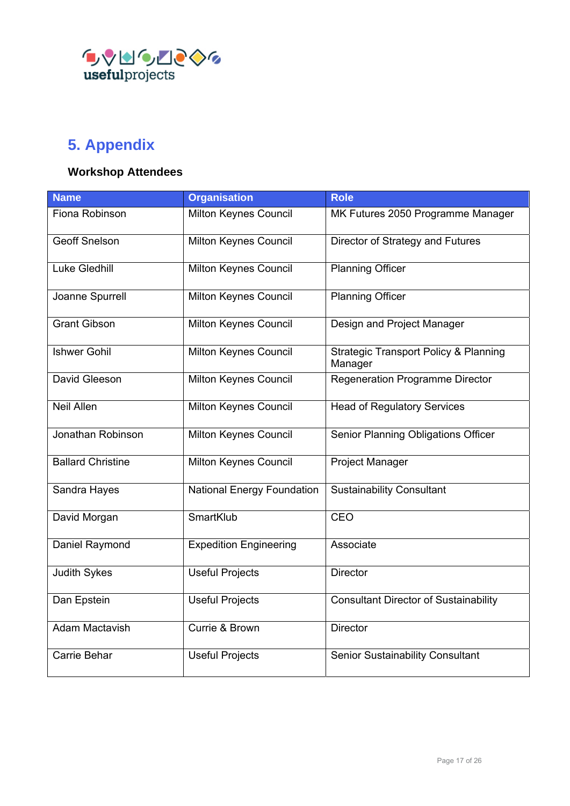

# **5. Appendix**

# **Workshop Attendees**

| <b>Name</b>                                       | <b>Organisation</b>               | <b>Role</b>                                                 |
|---------------------------------------------------|-----------------------------------|-------------------------------------------------------------|
| Fiona Robinson                                    | Milton Keynes Council             | MK Futures 2050 Programme Manager                           |
| <b>Geoff Snelson</b>                              | Milton Keynes Council             | Director of Strategy and Futures                            |
| <b>Luke Gledhill</b>                              | Milton Keynes Council             | <b>Planning Officer</b>                                     |
| Joanne Spurrell                                   | Milton Keynes Council             | <b>Planning Officer</b>                                     |
| <b>Grant Gibson</b>                               | Milton Keynes Council             | Design and Project Manager                                  |
| <b>Ishwer Gohil</b>                               | Milton Keynes Council             | <b>Strategic Transport Policy &amp; Planning</b><br>Manager |
| David Gleeson                                     | Milton Keynes Council             | Regeneration Programme Director                             |
| <b>Neil Allen</b>                                 | Milton Keynes Council             | <b>Head of Regulatory Services</b>                          |
| Jonathan Robinson                                 | Milton Keynes Council             | Senior Planning Obligations Officer                         |
| <b>Ballard Christine</b><br>Milton Keynes Council |                                   | <b>Project Manager</b>                                      |
| Sandra Hayes                                      | <b>National Energy Foundation</b> | <b>Sustainability Consultant</b>                            |
| David Morgan                                      | SmartKlub                         | CEO                                                         |
| <b>Expedition Engineering</b><br>Daniel Raymond   |                                   | Associate                                                   |
| <b>Judith Sykes</b>                               | <b>Useful Projects</b>            | <b>Director</b>                                             |
| Dan Epstein                                       | <b>Useful Projects</b>            | <b>Consultant Director of Sustainability</b>                |
| <b>Adam Mactavish</b><br>Currie & Brown           |                                   | <b>Director</b>                                             |
| Carrie Behar<br><b>Useful Projects</b>            |                                   | Senior Sustainability Consultant                            |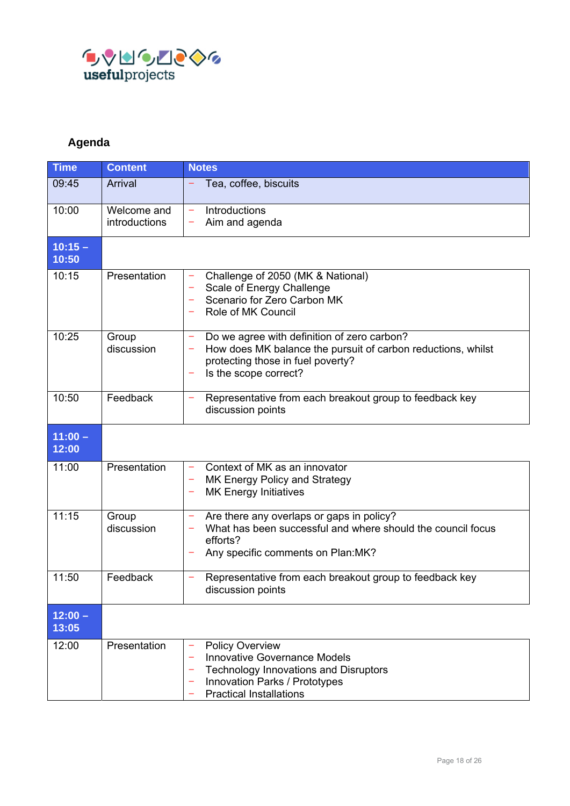

# **Agenda**

| <b>Time</b>        | <b>Content</b>               | <b>Notes</b>                                                                                                                                                                             |  |  |  |
|--------------------|------------------------------|------------------------------------------------------------------------------------------------------------------------------------------------------------------------------------------|--|--|--|
| 09:45              | Arrival                      | Tea, coffee, biscuits                                                                                                                                                                    |  |  |  |
| 10:00              | Welcome and<br>introductions | Introductions<br>÷<br>Aim and agenda<br>۳                                                                                                                                                |  |  |  |
| $10:15 -$<br>10:50 |                              |                                                                                                                                                                                          |  |  |  |
| 10:15              | Presentation                 | Challenge of 2050 (MK & National)<br>Scale of Energy Challenge<br>Scenario for Zero Carbon MK<br>۰<br>Role of MK Council                                                                 |  |  |  |
| 10:25              | Group<br>discussion          | Do we agree with definition of zero carbon?<br>۰<br>How does MK balance the pursuit of carbon reductions, whilst<br>-<br>protecting those in fuel poverty?<br>Is the scope correct?<br>۰ |  |  |  |
| 10:50              | Feedback                     | Representative from each breakout group to feedback key<br>۰<br>discussion points                                                                                                        |  |  |  |
| $11:00 -$<br>12:00 |                              |                                                                                                                                                                                          |  |  |  |
| 11:00              | Presentation                 | Context of MK as an innovator<br>-<br>MK Energy Policy and Strategy<br>۰<br><b>MK Energy Initiatives</b><br>-                                                                            |  |  |  |
| 11:15              | Group<br>discussion          | Are there any overlaps or gaps in policy?<br>÷<br>What has been successful and where should the council focus<br>efforts?<br>Any specific comments on Plan:MK?                           |  |  |  |
| 11:50              | Feedback                     | Representative from each breakout group to feedback key<br>discussion points                                                                                                             |  |  |  |
| $12:00 -$<br>13:05 |                              |                                                                                                                                                                                          |  |  |  |
| 12:00              | Presentation                 | <b>Policy Overview</b><br><b>Innovative Governance Models</b><br><b>Technology Innovations and Disruptors</b><br>Innovation Parks / Prototypes<br><b>Practical Installations</b>         |  |  |  |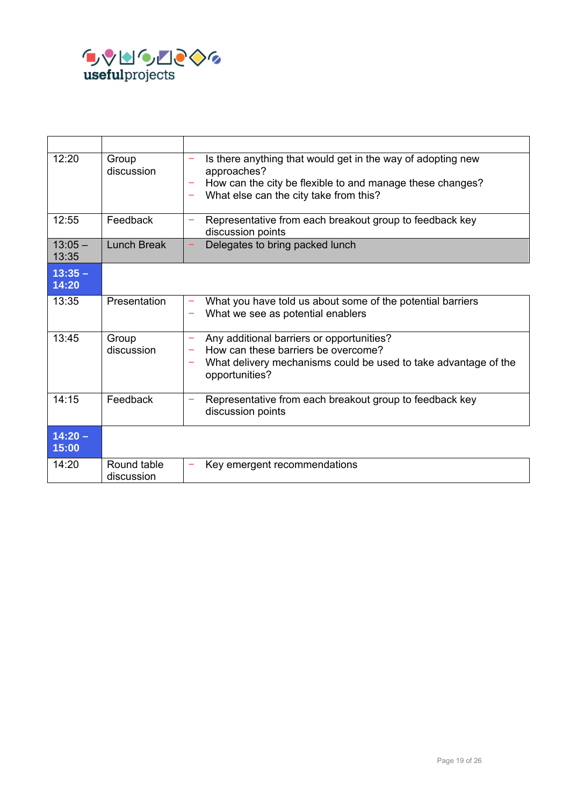

| 12:20              | Group<br>discussion       | Is there anything that would get in the way of adopting new<br>÷<br>approaches?<br>How can the city be flexible to and manage these changes?<br>What else can the city take from this?<br>- |
|--------------------|---------------------------|---------------------------------------------------------------------------------------------------------------------------------------------------------------------------------------------|
| 12:55              | Feedback                  | Representative from each breakout group to feedback key<br>÷<br>discussion points                                                                                                           |
| $13:05 -$<br>13:35 | Lunch Break               | Delegates to bring packed lunch                                                                                                                                                             |
| $13:35 -$<br>14:20 |                           |                                                                                                                                                                                             |
| 13:35              | Presentation              | What you have told us about some of the potential barriers<br>۰<br>What we see as potential enablers                                                                                        |
| 13:45              | Group<br>discussion       | Any additional barriers or opportunities?<br>÷<br>How can these barriers be overcome?<br>What delivery mechanisms could be used to take advantage of the<br>-<br>opportunities?             |
| 14:15              | Feedback                  | Representative from each breakout group to feedback key<br>-<br>discussion points                                                                                                           |
| $14:20 -$<br>15:00 |                           |                                                                                                                                                                                             |
| 14:20              | Round table<br>discussion | Key emergent recommendations                                                                                                                                                                |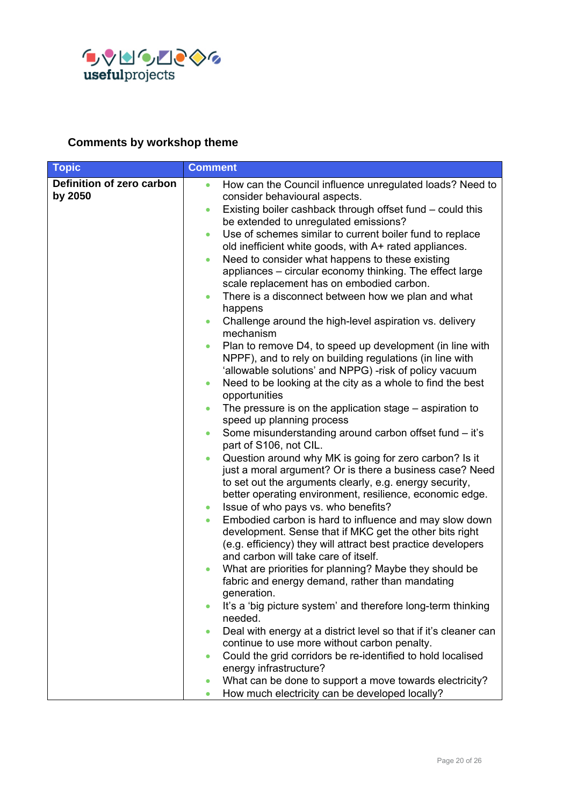

# **Comments by workshop theme**

| <b>Topic</b>                         | <b>Comment</b>                                                                                                                                                                                                                                                                                                                                                                                                                                                                                                                                                                                                                                                                                                                                                                                                                                                                                                                                                                                                                                                                                                                                                                                                                                                                                                                                                                                                                                                                                                                                                                                                                                                                                                                                                                                                                                                                                                                                                                                                                                     |
|--------------------------------------|----------------------------------------------------------------------------------------------------------------------------------------------------------------------------------------------------------------------------------------------------------------------------------------------------------------------------------------------------------------------------------------------------------------------------------------------------------------------------------------------------------------------------------------------------------------------------------------------------------------------------------------------------------------------------------------------------------------------------------------------------------------------------------------------------------------------------------------------------------------------------------------------------------------------------------------------------------------------------------------------------------------------------------------------------------------------------------------------------------------------------------------------------------------------------------------------------------------------------------------------------------------------------------------------------------------------------------------------------------------------------------------------------------------------------------------------------------------------------------------------------------------------------------------------------------------------------------------------------------------------------------------------------------------------------------------------------------------------------------------------------------------------------------------------------------------------------------------------------------------------------------------------------------------------------------------------------------------------------------------------------------------------------------------------------|
| Definition of zero carbon<br>by 2050 | How can the Council influence unregulated loads? Need to<br>$\bullet$<br>consider behavioural aspects.<br>Existing boiler cashback through offset fund - could this<br>$\bullet$<br>be extended to unregulated emissions?<br>Use of schemes similar to current boiler fund to replace<br>$\bullet$<br>old inefficient white goods, with A+ rated appliances.<br>Need to consider what happens to these existing<br>$\bullet$<br>appliances – circular economy thinking. The effect large<br>scale replacement has on embodied carbon.<br>There is a disconnect between how we plan and what<br>$\bullet$<br>happens<br>Challenge around the high-level aspiration vs. delivery<br>٠<br>mechanism<br>Plan to remove D4, to speed up development (in line with<br>$\bullet$<br>NPPF), and to rely on building regulations (in line with<br>'allowable solutions' and NPPG) -risk of policy vacuum<br>Need to be looking at the city as a whole to find the best<br>$\bullet$<br>opportunities<br>The pressure is on the application stage – aspiration to<br>$\bullet$<br>speed up planning process<br>Some misunderstanding around carbon offset fund - it's<br>$\bullet$<br>part of S106, not CIL.<br>Question around why MK is going for zero carbon? Is it<br>$\bullet$<br>just a moral argument? Or is there a business case? Need<br>to set out the arguments clearly, e.g. energy security,<br>better operating environment, resilience, economic edge.<br>Issue of who pays vs. who benefits?<br>$\bullet$<br>Embodied carbon is hard to influence and may slow down<br>$\bullet$<br>development. Sense that if MKC get the other bits right<br>(e.g. efficiency) they will attract best practice developers<br>and carbon will take care of itself.<br>What are priorities for planning? Maybe they should be<br>fabric and energy demand, rather than mandating<br>generation.<br>It's a 'big picture system' and therefore long-term thinking<br>needed.<br>Deal with energy at a district level so that if it's cleaner can<br>$\bullet$ |
|                                      | continue to use more without carbon penalty.                                                                                                                                                                                                                                                                                                                                                                                                                                                                                                                                                                                                                                                                                                                                                                                                                                                                                                                                                                                                                                                                                                                                                                                                                                                                                                                                                                                                                                                                                                                                                                                                                                                                                                                                                                                                                                                                                                                                                                                                       |
|                                      | Could the grid corridors be re-identified to hold localised<br>$\bullet$<br>energy infrastructure?                                                                                                                                                                                                                                                                                                                                                                                                                                                                                                                                                                                                                                                                                                                                                                                                                                                                                                                                                                                                                                                                                                                                                                                                                                                                                                                                                                                                                                                                                                                                                                                                                                                                                                                                                                                                                                                                                                                                                 |
|                                      | What can be done to support a move towards electricity?                                                                                                                                                                                                                                                                                                                                                                                                                                                                                                                                                                                                                                                                                                                                                                                                                                                                                                                                                                                                                                                                                                                                                                                                                                                                                                                                                                                                                                                                                                                                                                                                                                                                                                                                                                                                                                                                                                                                                                                            |
|                                      | How much electricity can be developed locally?<br>$\bullet$                                                                                                                                                                                                                                                                                                                                                                                                                                                                                                                                                                                                                                                                                                                                                                                                                                                                                                                                                                                                                                                                                                                                                                                                                                                                                                                                                                                                                                                                                                                                                                                                                                                                                                                                                                                                                                                                                                                                                                                        |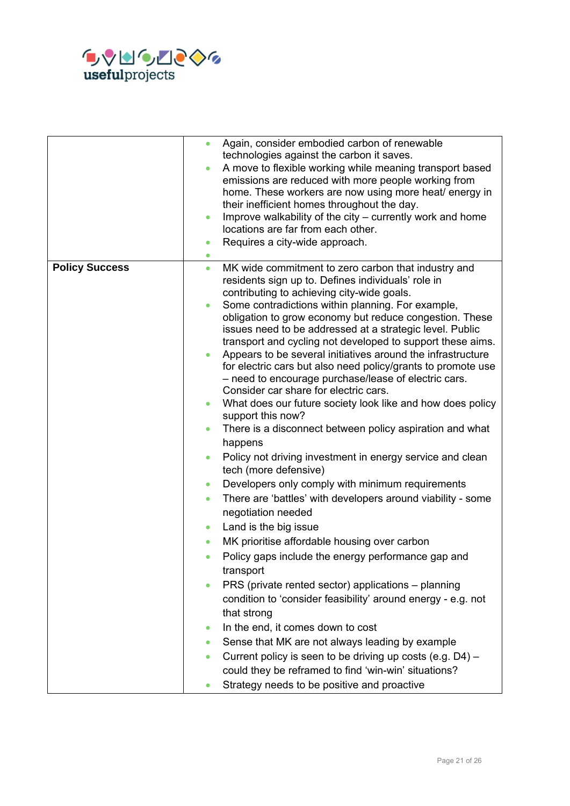

|                       | Again, consider embodied carbon of renewable<br>$\bullet$<br>technologies against the carbon it saves.<br>A move to flexible working while meaning transport based<br>emissions are reduced with more people working from<br>home. These workers are now using more heat/ energy in<br>their inefficient homes throughout the day.<br>Improve walkability of the city – currently work and home<br>$\bullet$<br>locations are far from each other.<br>Requires a city-wide approach.<br>$\bullet$                                                                                                                                                                                                                                                                                                                                                                                                                                                                                                                                                                                                                                                                                                                                                                                                                                                                                                                                                                                                                                                                                                                                                                                                                                                      |
|-----------------------|--------------------------------------------------------------------------------------------------------------------------------------------------------------------------------------------------------------------------------------------------------------------------------------------------------------------------------------------------------------------------------------------------------------------------------------------------------------------------------------------------------------------------------------------------------------------------------------------------------------------------------------------------------------------------------------------------------------------------------------------------------------------------------------------------------------------------------------------------------------------------------------------------------------------------------------------------------------------------------------------------------------------------------------------------------------------------------------------------------------------------------------------------------------------------------------------------------------------------------------------------------------------------------------------------------------------------------------------------------------------------------------------------------------------------------------------------------------------------------------------------------------------------------------------------------------------------------------------------------------------------------------------------------------------------------------------------------------------------------------------------------|
| <b>Policy Success</b> | MK wide commitment to zero carbon that industry and<br>$\bullet$<br>residents sign up to. Defines individuals' role in<br>contributing to achieving city-wide goals.<br>Some contradictions within planning. For example,<br>$\bullet$<br>obligation to grow economy but reduce congestion. These<br>issues need to be addressed at a strategic level. Public<br>transport and cycling not developed to support these aims.<br>Appears to be several initiatives around the infrastructure<br>for electric cars but also need policy/grants to promote use<br>- need to encourage purchase/lease of electric cars.<br>Consider car share for electric cars.<br>What does our future society look like and how does policy<br>$\bullet$<br>support this now?<br>There is a disconnect between policy aspiration and what<br>$\bullet$<br>happens<br>Policy not driving investment in energy service and clean<br>$\bullet$<br>tech (more defensive)<br>Developers only comply with minimum requirements<br>$\bullet$<br>There are 'battles' with developers around viability - some<br>$\bullet$<br>negotiation needed<br>Land is the big issue<br>$\bullet$<br>MK prioritise affordable housing over carbon<br>Policy gaps include the energy performance gap and<br>$\bullet$<br>transport<br>PRS (private rented sector) applications – planning<br>$\bullet$<br>condition to 'consider feasibility' around energy - e.g. not<br>that strong<br>In the end, it comes down to cost<br>٠<br>Sense that MK are not always leading by example<br>$\bullet$<br>Current policy is seen to be driving up costs (e.g. D4) -<br>$\bullet$<br>could they be reframed to find 'win-win' situations?<br>Strategy needs to be positive and proactive<br>$\bullet$ |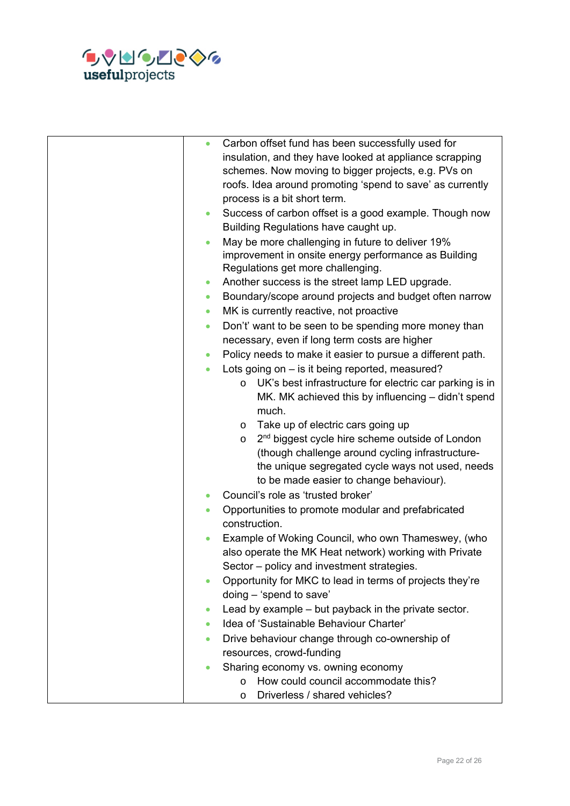

| $\bullet$ | Carbon offset fund has been successfully used for                      |
|-----------|------------------------------------------------------------------------|
|           | insulation, and they have looked at appliance scrapping                |
|           | schemes. Now moving to bigger projects, e.g. PVs on                    |
|           | roofs. Idea around promoting 'spend to save' as currently              |
|           | process is a bit short term.                                           |
| $\bullet$ | Success of carbon offset is a good example. Though now                 |
|           | Building Regulations have caught up.                                   |
| $\bullet$ | May be more challenging in future to deliver 19%                       |
|           | improvement in onsite energy performance as Building                   |
|           | Regulations get more challenging.                                      |
| $\bullet$ | Another success is the street lamp LED upgrade.                        |
| $\bullet$ | Boundary/scope around projects and budget often narrow                 |
| $\bullet$ | MK is currently reactive, not proactive                                |
| $\bullet$ | Don't' want to be seen to be spending more money than                  |
|           | necessary, even if long term costs are higher                          |
| $\bullet$ | Policy needs to make it easier to pursue a different path.             |
| $\bullet$ | Lots going on - is it being reported, measured?                        |
|           | UK's best infrastructure for electric car parking is in<br>$\circ$     |
|           | MK. MK achieved this by influencing - didn't spend                     |
|           | much.                                                                  |
|           | Take up of electric cars going up<br>$\circ$                           |
|           | 2 <sup>nd</sup> biggest cycle hire scheme outside of London<br>$\circ$ |
|           | (though challenge around cycling infrastructure-                       |
|           | the unique segregated cycle ways not used, needs                       |
|           | to be made easier to change behaviour).                                |
| $\bullet$ | Council's role as 'trusted broker'                                     |
| $\bullet$ | Opportunities to promote modular and prefabricated                     |
|           | construction.                                                          |
|           | Example of Woking Council, who own Thameswey, (who                     |
|           | also operate the MK Heat network) working with Private                 |
|           | Sector - policy and investment strategies.                             |
| $\bullet$ | Opportunity for MKC to lead in terms of projects they're               |
|           | doing - 'spend to save'                                                |
| $\bullet$ | Lead by example – but payback in the private sector.                   |
| $\bullet$ | Idea of 'Sustainable Behaviour Charter'                                |
| $\bullet$ | Drive behaviour change through co-ownership of                         |
|           | resources, crowd-funding                                               |
|           | Sharing economy vs. owning economy                                     |
|           | How could council accommodate this?<br>$\circ$                         |
|           | Driverless / shared vehicles?<br>$\circ$                               |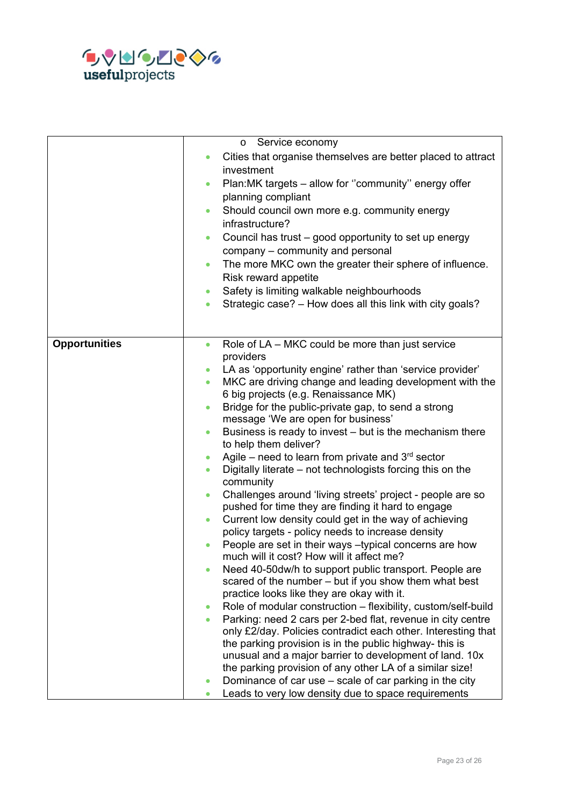

|                      | Service economy<br>$\circ$                                                                   |
|----------------------|----------------------------------------------------------------------------------------------|
|                      |                                                                                              |
|                      | Cities that organise themselves are better placed to attract<br>$\bullet$<br>investment      |
|                      | Plan:MK targets - allow for "community" energy offer<br>$\bullet$<br>planning compliant      |
|                      | Should council own more e.g. community energy<br>$\bullet$<br>infrastructure?                |
|                      | Council has trust - good opportunity to set up energy<br>$\bullet$                           |
|                      | company - community and personal                                                             |
|                      | The more MKC own the greater their sphere of influence.<br>$\bullet$<br>Risk reward appetite |
|                      | Safety is limiting walkable neighbourhoods<br>$\bullet$                                      |
|                      | Strategic case? - How does all this link with city goals?<br>$\bullet$                       |
|                      |                                                                                              |
|                      |                                                                                              |
| <b>Opportunities</b> | Role of LA – MKC could be more than just service<br>$\bullet$<br>providers                   |
|                      | LA as 'opportunity engine' rather than 'service provider'<br>$\bullet$                       |
|                      | MKC are driving change and leading development with the<br>$\bullet$                         |
|                      | 6 big projects (e.g. Renaissance MK)                                                         |
|                      | Bridge for the public-private gap, to send a strong<br>$\bullet$                             |
|                      | message 'We are open for business'                                                           |
|                      | Business is ready to invest – but is the mechanism there<br>$\bullet$                        |
|                      | to help them deliver?                                                                        |
|                      | Agile – need to learn from private and $3rd$ sector<br>$\bullet$                             |
|                      | Digitally literate - not technologists forcing this on the<br>$\bullet$<br>community         |
|                      | Challenges around 'living streets' project - people are so<br>$\bullet$                      |
|                      | pushed for time they are finding it hard to engage                                           |
|                      | Current low density could get in the way of achieving<br>$\bullet$                           |
|                      | policy targets - policy needs to increase density                                            |
|                      | People are set in their ways -typical concerns are how<br>$\bullet$                          |
|                      | much will it cost? How will it affect me?                                                    |
|                      | Need 40-50dw/h to support public transport. People are<br>$\bullet$                          |
|                      | scared of the number – but if you show them what best                                        |
|                      | practice looks like they are okay with it.                                                   |
|                      | Role of modular construction – flexibility, custom/self-build<br>$\bullet$                   |
|                      | Parking: need 2 cars per 2-bed flat, revenue in city centre<br>$\bullet$                     |
|                      | only £2/day. Policies contradict each other. Interesting that                                |
|                      | the parking provision is in the public highway- this is                                      |
|                      | unusual and a major barrier to development of land. 10x                                      |
|                      | the parking provision of any other LA of a similar size!                                     |
|                      | Dominance of car use – scale of car parking in the city<br>$\bullet$                         |
|                      | Leads to very low density due to space requirements<br>$\bullet$                             |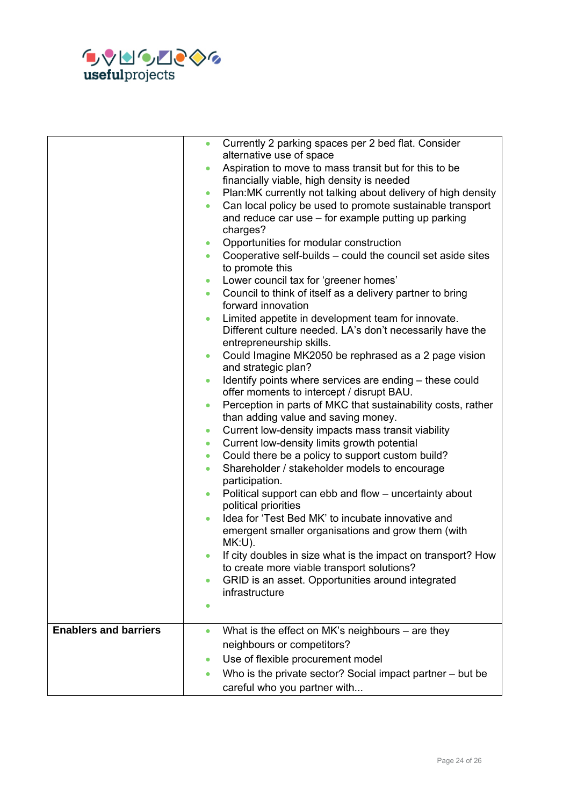

|                              | $\bullet$ | Currently 2 parking spaces per 2 bed flat. Consider<br>alternative use of space |
|------------------------------|-----------|---------------------------------------------------------------------------------|
|                              |           |                                                                                 |
|                              | $\bullet$ | Aspiration to move to mass transit but for this to be                           |
|                              |           | financially viable, high density is needed                                      |
|                              | $\bullet$ | Plan: MK currently not talking about delivery of high density                   |
|                              | $\bullet$ | Can local policy be used to promote sustainable transport                       |
|                              |           | and reduce car use - for example putting up parking                             |
|                              |           | charges?                                                                        |
|                              | $\bullet$ | Opportunities for modular construction                                          |
|                              | $\bullet$ | Cooperative self-builds – could the council set aside sites                     |
|                              |           | to promote this                                                                 |
|                              | ٠         | Lower council tax for 'greener homes'                                           |
|                              | $\bullet$ | Council to think of itself as a delivery partner to bring                       |
|                              |           | forward innovation                                                              |
|                              | $\bullet$ | Limited appetite in development team for innovate.                              |
|                              |           | Different culture needed. LA's don't necessarily have the                       |
|                              |           | entrepreneurship skills.                                                        |
|                              | $\bullet$ | Could Imagine MK2050 be rephrased as a 2 page vision                            |
|                              |           | and strategic plan?                                                             |
|                              | $\bullet$ | Identify points where services are ending - these could                         |
|                              |           | offer moments to intercept / disrupt BAU.                                       |
|                              | $\bullet$ | Perception in parts of MKC that sustainability costs, rather                    |
|                              |           | than adding value and saving money.                                             |
|                              | $\bullet$ | Current low-density impacts mass transit viability                              |
|                              | $\bullet$ | Current low-density limits growth potential                                     |
|                              | $\bullet$ | Could there be a policy to support custom build?                                |
|                              | $\bullet$ | Shareholder / stakeholder models to encourage<br>participation.                 |
|                              | $\bullet$ | Political support can ebb and flow - uncertainty about                          |
|                              |           | political priorities                                                            |
|                              | $\bullet$ | Idea for 'Test Bed MK' to incubate innovative and                               |
|                              |           | emergent smaller organisations and grow them (with                              |
|                              |           | $MK:U$ ).                                                                       |
|                              | $\bullet$ | If city doubles in size what is the impact on transport? How                    |
|                              |           | to create more viable transport solutions?                                      |
|                              | $\bullet$ | GRID is an asset. Opportunities around integrated                               |
|                              |           | infrastructure                                                                  |
|                              | $\bullet$ |                                                                                 |
|                              |           |                                                                                 |
| <b>Enablers and barriers</b> | $\bullet$ | What is the effect on MK's neighbours - are they                                |
|                              |           | neighbours or competitors?                                                      |
|                              | $\bullet$ | Use of flexible procurement model                                               |
|                              | $\bullet$ | Who is the private sector? Social impact partner – but be                       |
|                              |           | careful who you partner with                                                    |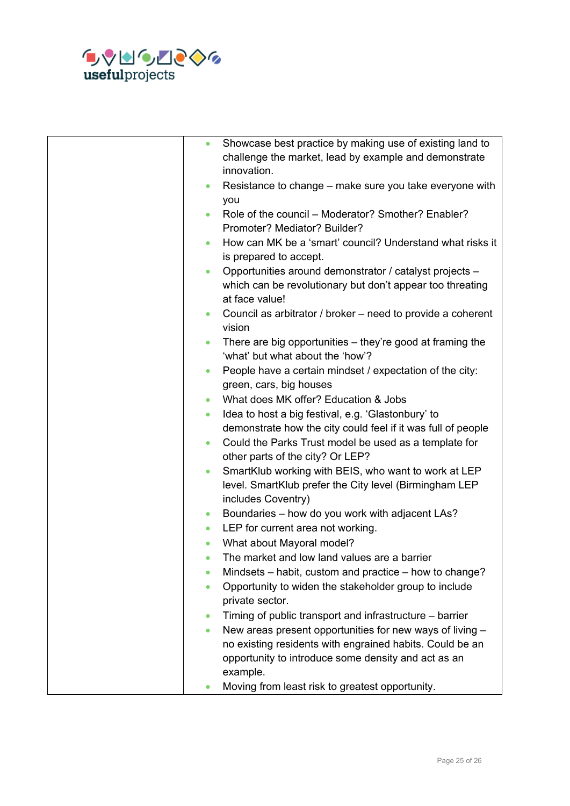

| Showcase best practice by making use of existing land to<br>$\bullet$<br>challenge the market, lead by example and demonstrate<br>innovation.       |
|-----------------------------------------------------------------------------------------------------------------------------------------------------|
| Resistance to change – make sure you take everyone with<br>$\bullet$<br>you                                                                         |
| Role of the council – Moderator? Smother? Enabler?<br>Promoter? Mediator? Builder?                                                                  |
| How can MK be a 'smart' council? Understand what risks it<br>is prepared to accept.                                                                 |
| Opportunities around demonstrator / catalyst projects -<br>$\bullet$<br>which can be revolutionary but don't appear too threating<br>at face value! |
| Council as arbitrator / broker – need to provide a coherent<br>$\bullet$<br>vision                                                                  |
| There are big opportunities – they're good at framing the<br>$\bullet$<br>'what' but what about the 'how'?                                          |
| People have a certain mindset / expectation of the city:<br>$\bullet$<br>green, cars, big houses                                                    |
| What does MK offer? Education & Jobs<br>$\bullet$                                                                                                   |
| Idea to host a big festival, e.g. 'Glastonbury' to<br>$\bullet$                                                                                     |
| demonstrate how the city could feel if it was full of people                                                                                        |
| Could the Parks Trust model be used as a template for<br>$\bullet$<br>other parts of the city? Or LEP?                                              |
| SmartKlub working with BEIS, who want to work at LEP<br>$\bullet$<br>level. SmartKlub prefer the City level (Birmingham LEP<br>includes Coventry)   |
| Boundaries - how do you work with adjacent LAs?<br>$\bullet$                                                                                        |
| LEP for current area not working.<br>$\bullet$                                                                                                      |
| What about Mayoral model?<br>$\bullet$                                                                                                              |
| The market and low land values are a barrier<br>$\bullet$                                                                                           |
| Mindsets – habit, custom and practice – how to change?<br>$\bullet$                                                                                 |
| Opportunity to widen the stakeholder group to include<br>$\bullet$<br>private sector.                                                               |
| Timing of public transport and infrastructure – barrier<br>$\bullet$                                                                                |
| New areas present opportunities for new ways of living -<br>$\bullet$                                                                               |
| no existing residents with engrained habits. Could be an<br>opportunity to introduce some density and act as an                                     |
| example.                                                                                                                                            |
| Moving from least risk to greatest opportunity.                                                                                                     |